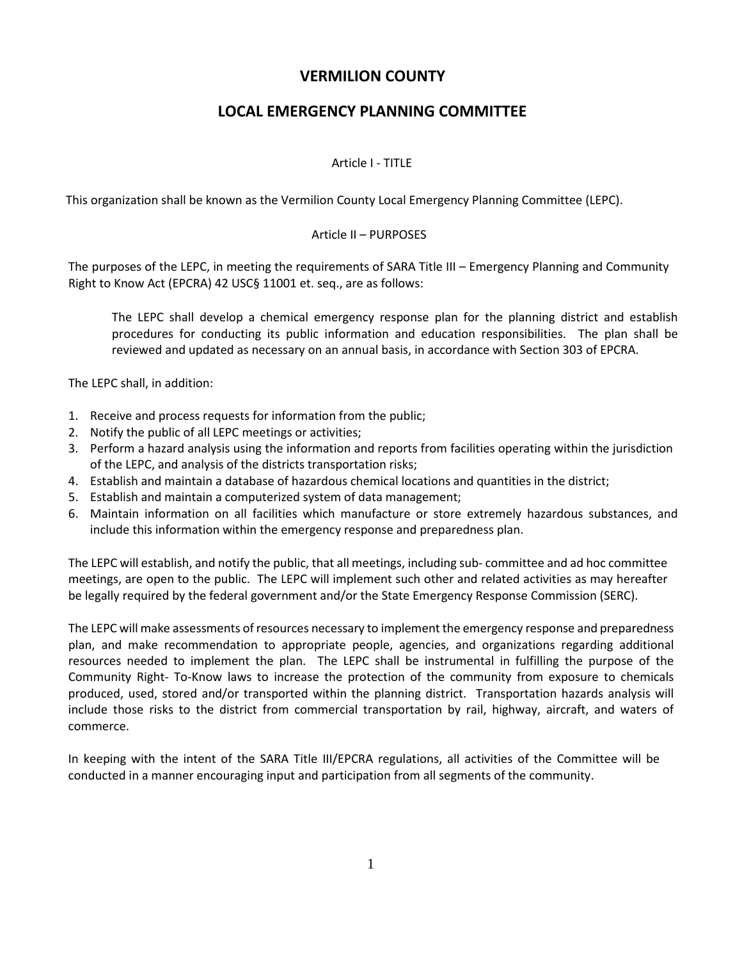# **VERMILION COUNTY**

# **LOCAL EMERGENCY PLANNING COMMITTEE**

# Article I - TITLE

This organization shall be known as the Vermilion County Local Emergency Planning Committee (LEPC).

## Article II – PURPOSES

The purposes of the LEPC, in meeting the requirements of SARA Title III – Emergency Planning and Community Right to Know Act (EPCRA) 42 USC§ 11001 et. seq., are as follows:

The LEPC shall develop a chemical emergency response plan for the planning district and establish procedures for conducting its public information and education responsibilities. The plan shall be reviewed and updated as necessary on an annual basis, in accordance with Section 303 of EPCRA.

The LEPC shall, in addition:

- 1. Receive and process requests for information from the public;
- 2. Notify the public of all LEPC meetings or activities;
- 3. Perform a hazard analysis using the information and reports from facilities operating within the jurisdiction of the LEPC, and analysis of the districts transportation risks;
- 4. Establish and maintain a database of hazardous chemical locations and quantities in the district;
- 5. Establish and maintain a computerized system of data management;
- 6. Maintain information on all facilities which manufacture or store extremely hazardous substances, and include this information within the emergency response and preparedness plan.

The LEPC will establish, and notify the public, that all meetings, including sub- committee and ad hoc committee meetings, are open to the public. The LEPC will implement such other and related activities as may hereafter be legally required by the federal government and/or the State Emergency Response Commission (SERC).

The LEPC will make assessments of resources necessary to implement the emergency response and preparedness plan, and make recommendation to appropriate people, agencies, and organizations regarding additional resources needed to implement the plan. The LEPC shall be instrumental in fulfilling the purpose of the Community Right- To-Know laws to increase the protection of the community from exposure to chemicals produced, used, stored and/or transported within the planning district. Transportation hazards analysis will include those risks to the district from commercial transportation by rail, highway, aircraft, and waters of commerce.

In keeping with the intent of the SARA Title III/EPCRA regulations, all activities of the Committee will be conducted in a manner encouraging input and participation from all segments of the community.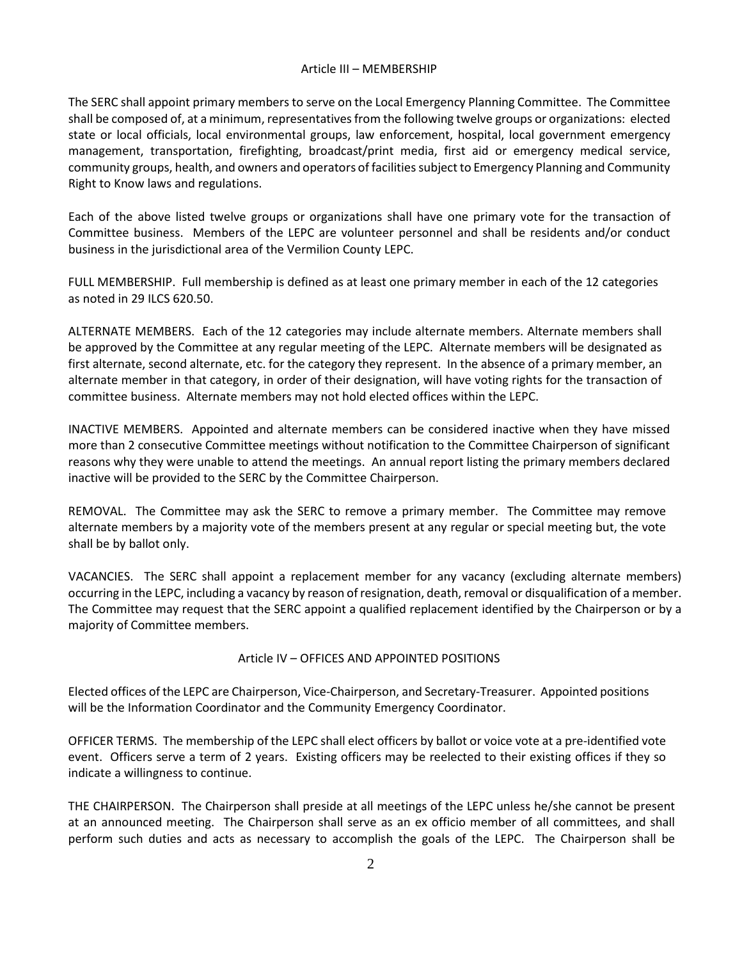## Article III – MEMBERSHIP

The SERC shall appoint primary members to serve on the Local Emergency Planning Committee. The Committee shall be composed of, at a minimum, representatives from the following twelve groups or organizations: elected state or local officials, local environmental groups, law enforcement, hospital, local government emergency management, transportation, firefighting, broadcast/print media, first aid or emergency medical service, community groups, health, and owners and operators of facilities subject to Emergency Planning and Community Right to Know laws and regulations.

Each of the above listed twelve groups or organizations shall have one primary vote for the transaction of Committee business. Members of the LEPC are volunteer personnel and shall be residents and/or conduct business in the jurisdictional area of the Vermilion County LEPC.

FULL MEMBERSHIP. Full membership is defined as at least one primary member in each of the 12 categories as noted in 29 ILCS 620.50.

ALTERNATE MEMBERS. Each of the 12 categories may include alternate members. Alternate members shall be approved by the Committee at any regular meeting of the LEPC. Alternate members will be designated as first alternate, second alternate, etc. for the category they represent. In the absence of a primary member, an alternate member in that category, in order of their designation, will have voting rights for the transaction of committee business. Alternate members may not hold elected offices within the LEPC.

INACTIVE MEMBERS. Appointed and alternate members can be considered inactive when they have missed more than 2 consecutive Committee meetings without notification to the Committee Chairperson of significant reasons why they were unable to attend the meetings. An annual report listing the primary members declared inactive will be provided to the SERC by the Committee Chairperson.

REMOVAL. The Committee may ask the SERC to remove a primary member. The Committee may remove alternate members by a majority vote of the members present at any regular or special meeting but, the vote shall be by ballot only.

VACANCIES. The SERC shall appoint a replacement member for any vacancy (excluding alternate members) occurring in the LEPC, including a vacancy by reason ofresignation, death, removal or disqualification of a member. The Committee may request that the SERC appoint a qualified replacement identified by the Chairperson or by a majority of Committee members.

# Article IV – OFFICES AND APPOINTED POSITIONS

Elected offices of the LEPC are Chairperson, Vice-Chairperson, and Secretary-Treasurer. Appointed positions will be the Information Coordinator and the Community Emergency Coordinator.

OFFICER TERMS. The membership of the LEPC shall elect officers by ballot or voice vote at a pre-identified vote event. Officers serve a term of 2 years. Existing officers may be reelected to their existing offices if they so indicate a willingness to continue.

THE CHAIRPERSON. The Chairperson shall preside at all meetings of the LEPC unless he/she cannot be present at an announced meeting. The Chairperson shall serve as an ex officio member of all committees, and shall perform such duties and acts as necessary to accomplish the goals of the LEPC. The Chairperson shall be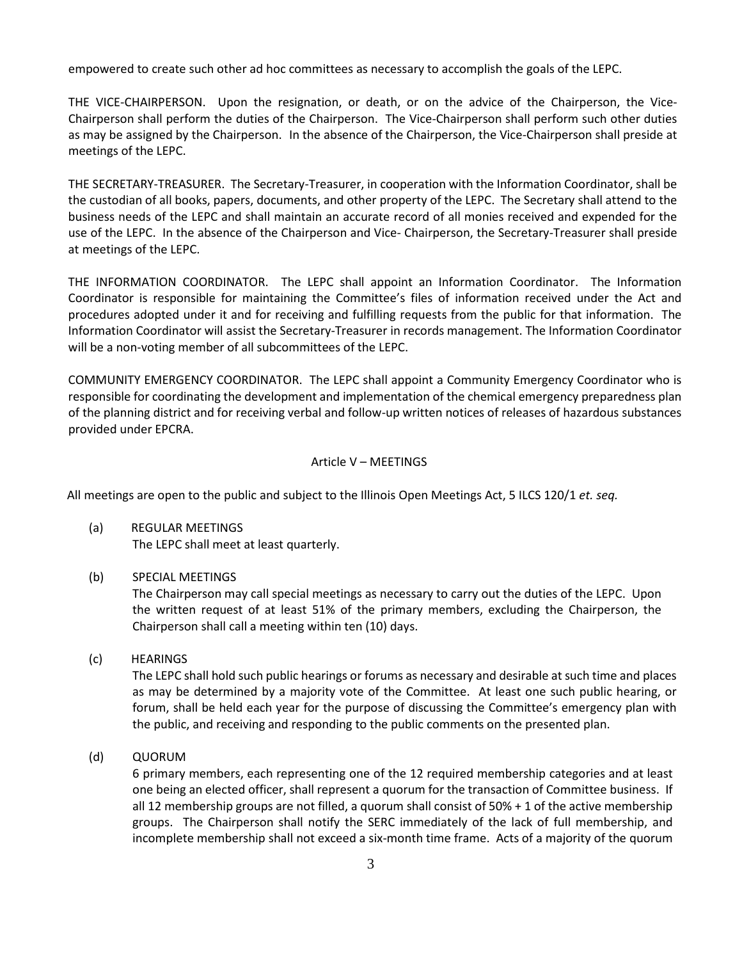empowered to create such other ad hoc committees as necessary to accomplish the goals of the LEPC.

THE VICE-CHAIRPERSON. Upon the resignation, or death, or on the advice of the Chairperson, the Vice-Chairperson shall perform the duties of the Chairperson. The Vice-Chairperson shall perform such other duties as may be assigned by the Chairperson. In the absence of the Chairperson, the Vice-Chairperson shall preside at meetings of the LEPC.

THE SECRETARY-TREASURER. The Secretary-Treasurer, in cooperation with the Information Coordinator, shall be the custodian of all books, papers, documents, and other property of the LEPC. The Secretary shall attend to the business needs of the LEPC and shall maintain an accurate record of all monies received and expended for the use of the LEPC. In the absence of the Chairperson and Vice- Chairperson, the Secretary-Treasurer shall preside at meetings of the LEPC.

THE INFORMATION COORDINATOR. The LEPC shall appoint an Information Coordinator. The Information Coordinator is responsible for maintaining the Committee's files of information received under the Act and procedures adopted under it and for receiving and fulfilling requests from the public for that information. The Information Coordinator will assist the Secretary-Treasurer in records management. The Information Coordinator will be a non-voting member of all subcommittees of the LEPC.

COMMUNITY EMERGENCY COORDINATOR. The LEPC shall appoint a Community Emergency Coordinator who is responsible for coordinating the development and implementation of the chemical emergency preparedness plan of the planning district and for receiving verbal and follow-up written notices of releases of hazardous substances provided under EPCRA.

#### Article V – MEETINGS

All meetings are open to the public and subject to the Illinois Open Meetings Act, 5 ILCS 120/1 *et. seq.*

- (a) REGULAR MEETINGS The LEPC shall meet at least quarterly.
- (b) SPECIAL MEETINGS

The Chairperson may call special meetings as necessary to carry out the duties of the LEPC. Upon the written request of at least 51% of the primary members, excluding the Chairperson, the Chairperson shall call a meeting within ten (10) days.

(c) HEARINGS

The LEPC shall hold such public hearings or forums as necessary and desirable at such time and places as may be determined by a majority vote of the Committee. At least one such public hearing, or forum, shall be held each year for the purpose of discussing the Committee's emergency plan with the public, and receiving and responding to the public comments on the presented plan.

(d) QUORUM

6 primary members, each representing one of the 12 required membership categories and at least one being an elected officer, shall represent a quorum for the transaction of Committee business. If all 12 membership groups are not filled, a quorum shall consist of 50% + 1 of the active membership groups. The Chairperson shall notify the SERC immediately of the lack of full membership, and incomplete membership shall not exceed a six-month time frame. Acts of a majority of the quorum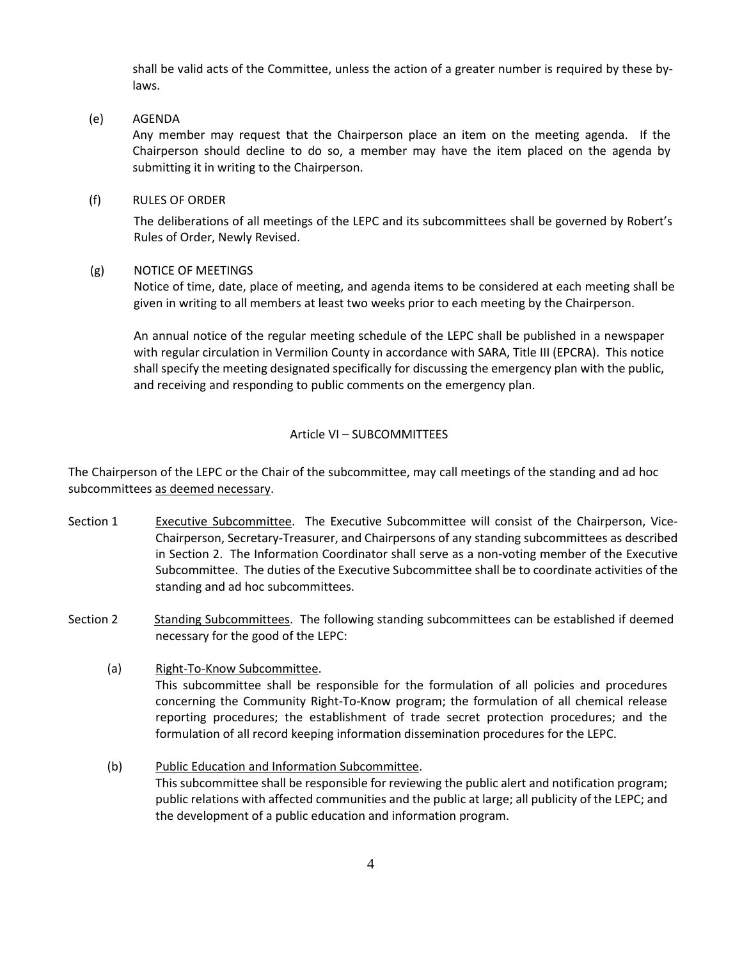shall be valid acts of the Committee, unless the action of a greater number is required by these bylaws.

## (e) AGENDA

Any member may request that the Chairperson place an item on the meeting agenda. If the Chairperson should decline to do so, a member may have the item placed on the agenda by submitting it in writing to the Chairperson.

### (f) RULES OF ORDER

The deliberations of all meetings of the LEPC and its subcommittees shall be governed by Robert's Rules of Order, Newly Revised.

## (g) NOTICE OF MEETINGS

Notice of time, date, place of meeting, and agenda items to be considered at each meeting shall be given in writing to all members at least two weeks prior to each meeting by the Chairperson.

An annual notice of the regular meeting schedule of the LEPC shall be published in a newspaper with regular circulation in Vermilion County in accordance with SARA, Title III (EPCRA). This notice shall specify the meeting designated specifically for discussing the emergency plan with the public, and receiving and responding to public comments on the emergency plan.

## Article VI – SUBCOMMITTEES

The Chairperson of the LEPC or the Chair of the subcommittee, may call meetings of the standing and ad hoc subcommittees as deemed necessary.

- Section 1 Executive Subcommittee. The Executive Subcommittee will consist of the Chairperson, Vice-Chairperson, Secretary-Treasurer, and Chairpersons of any standing subcommittees as described in Section 2. The Information Coordinator shall serve as a non-voting member of the Executive Subcommittee. The duties of the Executive Subcommittee shall be to coordinate activities of the standing and ad hoc subcommittees.
- Section 2 Standing Subcommittees. The following standing subcommittees can be established if deemed necessary for the good of the LEPC:
	- (a) Right-To-Know Subcommittee. This subcommittee shall be responsible for the formulation of all policies and procedures concerning the Community Right-To-Know program; the formulation of all chemical release reporting procedures; the establishment of trade secret protection procedures; and the formulation of all record keeping information dissemination procedures for the LEPC.
	- (b) Public Education and Information Subcommittee. This subcommittee shall be responsible for reviewing the public alert and notification program; public relations with affected communities and the public at large; all publicity of the LEPC; and the development of a public education and information program.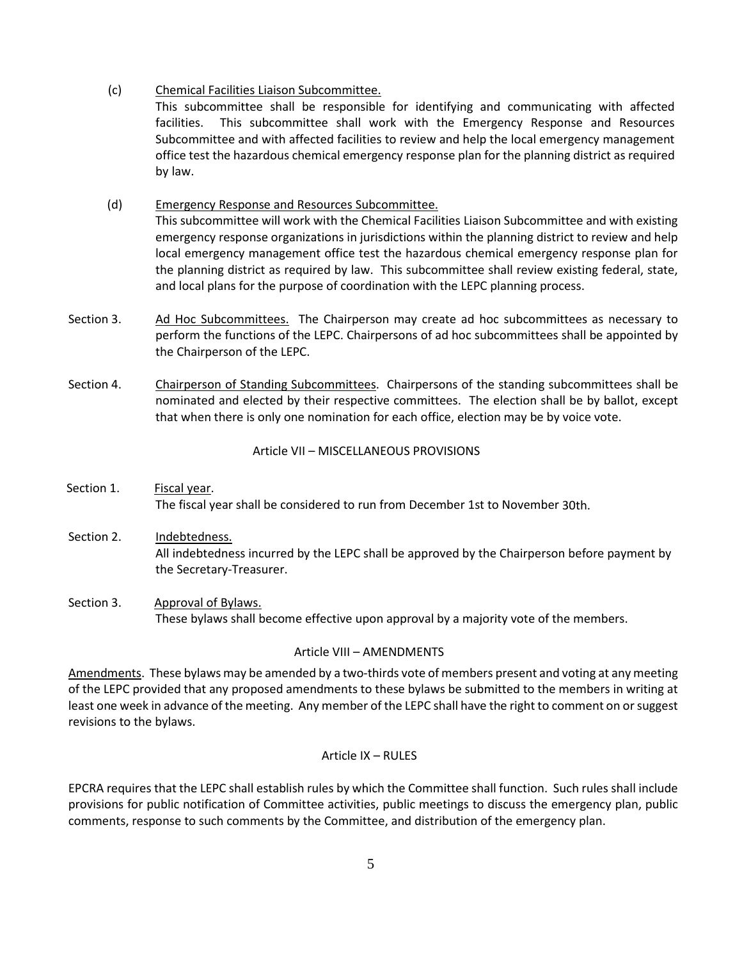(c) Chemical Facilities Liaison Subcommittee.

This subcommittee shall be responsible for identifying and communicating with affected facilities. This subcommittee shall work with the Emergency Response and Resources Subcommittee and with affected facilities to review and help the local emergency management office test the hazardous chemical emergency response plan for the planning district as required by law.

# (d) Emergency Response and Resources Subcommittee.

This subcommittee will work with the Chemical Facilities Liaison Subcommittee and with existing emergency response organizations in jurisdictions within the planning district to review and help local emergency management office test the hazardous chemical emergency response plan for the planning district as required by law. This subcommittee shall review existing federal, state, and local plans for the purpose of coordination with the LEPC planning process.

- Section 3. Ad Hoc Subcommittees. The Chairperson may create ad hoc subcommittees as necessary to perform the functions of the LEPC. Chairpersons of ad hoc subcommittees shall be appointed by the Chairperson of the LEPC.
- Section 4. Chairperson of Standing Subcommittees. Chairpersons of the standing subcommittees shall be nominated and elected by their respective committees. The election shall be by ballot, except that when there is only one nomination for each office, election may be by voice vote.

Article VII – MISCELLANEOUS PROVISIONS

- Section 1. Fiscal year. The fiscal year shall be considered to run from December 1st to November 30th.
- Section 2. Indebtedness. All indebtedness incurred by the LEPC shall be approved by the Chairperson before payment by the Secretary-Treasurer.
- Section 3. Approval of Bylaws. These bylaws shall become effective upon approval by a majority vote of the members.

# Article VIII – AMENDMENTS

Amendments. These bylaws may be amended by a two-thirds vote of members present and voting at any meeting of the LEPC provided that any proposed amendments to these bylaws be submitted to the members in writing at least one week in advance of the meeting. Any member of the LEPC shall have the right to comment on or suggest revisions to the bylaws.

#### Article IX – RULES

EPCRA requires that the LEPC shall establish rules by which the Committee shall function. Such rules shall include provisions for public notification of Committee activities, public meetings to discuss the emergency plan, public comments, response to such comments by the Committee, and distribution of the emergency plan.